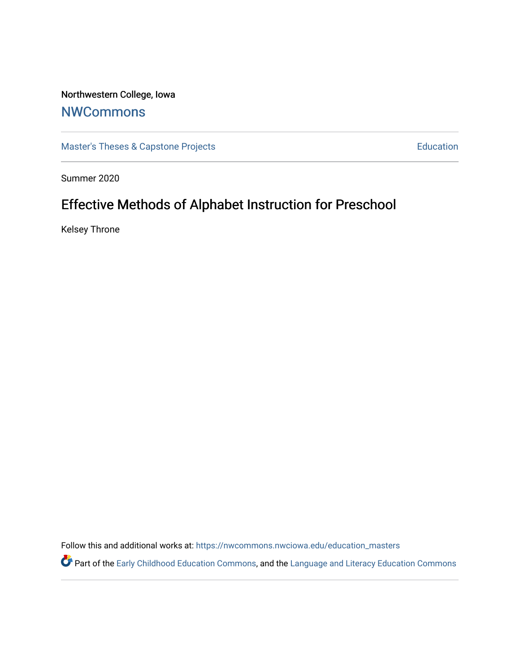# Northwestern College, Iowa

## **[NWCommons](https://nwcommons.nwciowa.edu/)**

[Master's Theses & Capstone Projects](https://nwcommons.nwciowa.edu/education_masters) **Education** Education

Summer 2020

# Effective Methods of Alphabet Instruction for Preschool

Kelsey Throne

Follow this and additional works at: [https://nwcommons.nwciowa.edu/education\\_masters](https://nwcommons.nwciowa.edu/education_masters?utm_source=nwcommons.nwciowa.edu%2Feducation_masters%2F248&utm_medium=PDF&utm_campaign=PDFCoverPages)

Part of the [Early Childhood Education Commons,](http://network.bepress.com/hgg/discipline/1377?utm_source=nwcommons.nwciowa.edu%2Feducation_masters%2F248&utm_medium=PDF&utm_campaign=PDFCoverPages) and the Language and Literacy Education Commons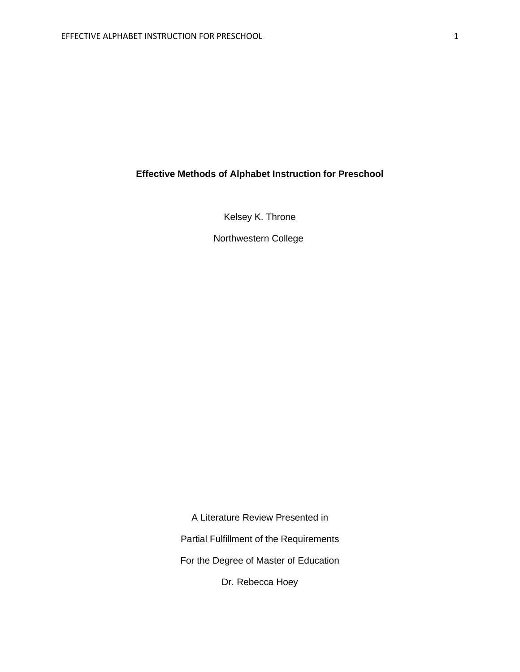## **Effective Methods of Alphabet Instruction for Preschool**

Kelsey K. Throne

Northwestern College

A Literature Review Presented in Partial Fulfillment of the Requirements For the Degree of Master of Education

Dr. Rebecca Hoey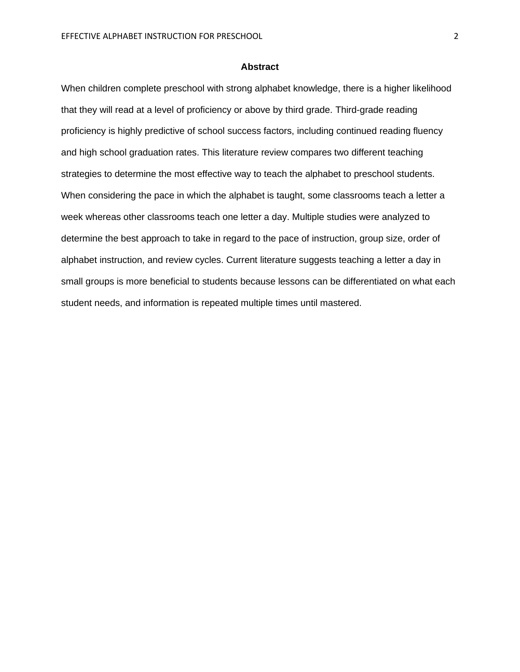#### **Abstract**

When children complete preschool with strong alphabet knowledge, there is a higher likelihood that they will read at a level of proficiency or above by third grade. Third-grade reading proficiency is highly predictive of school success factors, including continued reading fluency and high school graduation rates. This literature review compares two different teaching strategies to determine the most effective way to teach the alphabet to preschool students. When considering the pace in which the alphabet is taught, some classrooms teach a letter a week whereas other classrooms teach one letter a day. Multiple studies were analyzed to determine the best approach to take in regard to the pace of instruction, group size, order of alphabet instruction, and review cycles. Current literature suggests teaching a letter a day in small groups is more beneficial to students because lessons can be differentiated on what each student needs, and information is repeated multiple times until mastered.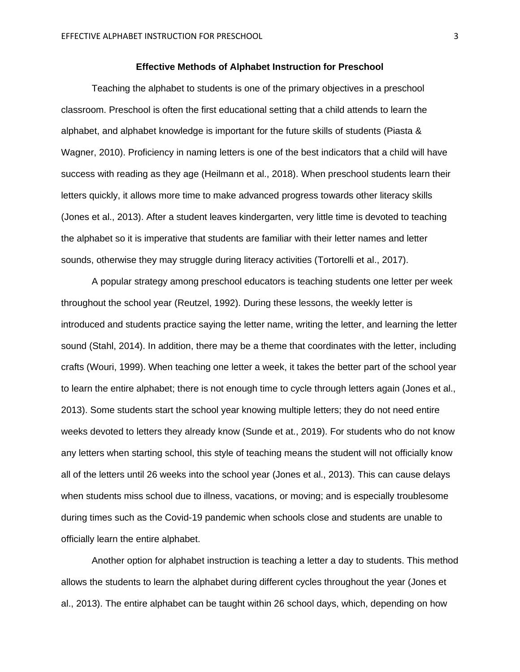#### **Effective Methods of Alphabet Instruction for Preschool**

Teaching the alphabet to students is one of the primary objectives in a preschool classroom. Preschool is often the first educational setting that a child attends to learn the alphabet, and alphabet knowledge is important for the future skills of students (Piasta & Wagner, 2010). Proficiency in naming letters is one of the best indicators that a child will have success with reading as they age (Heilmann et al., 2018). When preschool students learn their letters quickly, it allows more time to make advanced progress towards other literacy skills (Jones et al., 2013). After a student leaves kindergarten, very little time is devoted to teaching the alphabet so it is imperative that students are familiar with their letter names and letter sounds, otherwise they may struggle during literacy activities (Tortorelli et al., 2017).

A popular strategy among preschool educators is teaching students one letter per week throughout the school year (Reutzel, 1992). During these lessons, the weekly letter is introduced and students practice saying the letter name, writing the letter, and learning the letter sound (Stahl, 2014). In addition, there may be a theme that coordinates with the letter, including crafts (Wouri, 1999). When teaching one letter a week, it takes the better part of the school year to learn the entire alphabet; there is not enough time to cycle through letters again (Jones et al., 2013). Some students start the school year knowing multiple letters; they do not need entire weeks devoted to letters they already know (Sunde et at., 2019). For students who do not know any letters when starting school, this style of teaching means the student will not officially know all of the letters until 26 weeks into the school year (Jones et al., 2013). This can cause delays when students miss school due to illness, vacations, or moving; and is especially troublesome during times such as the Covid-19 pandemic when schools close and students are unable to officially learn the entire alphabet.

Another option for alphabet instruction is teaching a letter a day to students. This method allows the students to learn the alphabet during different cycles throughout the year (Jones et al., 2013). The entire alphabet can be taught within 26 school days, which, depending on how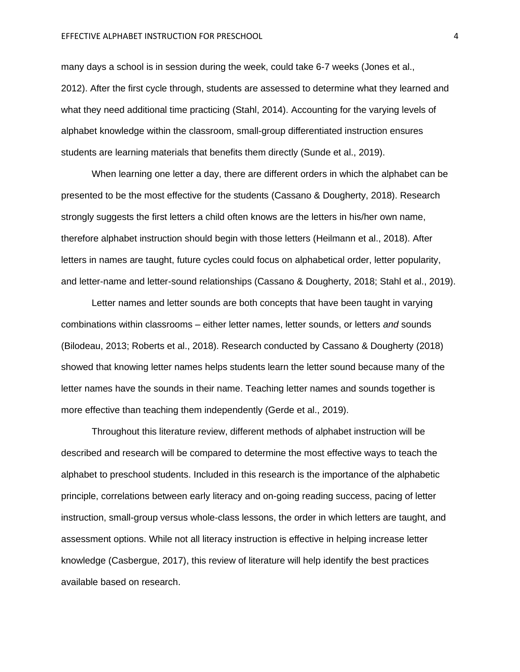many days a school is in session during the week, could take 6-7 weeks (Jones et al., 2012). After the first cycle through, students are assessed to determine what they learned and what they need additional time practicing (Stahl, 2014). Accounting for the varying levels of alphabet knowledge within the classroom, small-group differentiated instruction ensures students are learning materials that benefits them directly (Sunde et al., 2019).

When learning one letter a day, there are different orders in which the alphabet can be presented to be the most effective for the students (Cassano & Dougherty, 2018). Research strongly suggests the first letters a child often knows are the letters in his/her own name, therefore alphabet instruction should begin with those letters (Heilmann et al., 2018). After letters in names are taught, future cycles could focus on alphabetical order, letter popularity, and letter-name and letter-sound relationships (Cassano & Dougherty, 2018; Stahl et al., 2019).

Letter names and letter sounds are both concepts that have been taught in varying combinations within classrooms – either letter names, letter sounds, or letters *and* sounds (Bilodeau, 2013; Roberts et al., 2018). Research conducted by Cassano & Dougherty (2018) showed that knowing letter names helps students learn the letter sound because many of the letter names have the sounds in their name. Teaching letter names and sounds together is more effective than teaching them independently (Gerde et al., 2019).

Throughout this literature review, different methods of alphabet instruction will be described and research will be compared to determine the most effective ways to teach the alphabet to preschool students. Included in this research is the importance of the alphabetic principle, correlations between early literacy and on-going reading success, pacing of letter instruction, small-group versus whole-class lessons, the order in which letters are taught, and assessment options. While not all literacy instruction is effective in helping increase letter knowledge (Casbergue, 2017), this review of literature will help identify the best practices available based on research.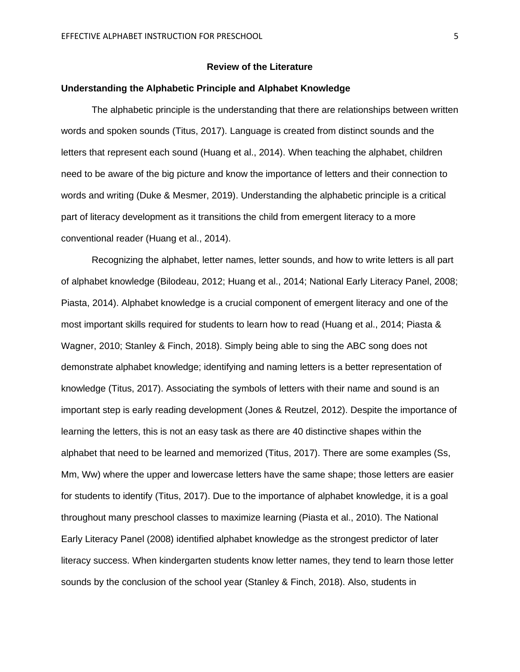#### **Review of the Literature**

#### **Understanding the Alphabetic Principle and Alphabet Knowledge**

The alphabetic principle is the understanding that there are relationships between written words and spoken sounds (Titus, 2017). Language is created from distinct sounds and the letters that represent each sound (Huang et al., 2014). When teaching the alphabet, children need to be aware of the big picture and know the importance of letters and their connection to words and writing (Duke & Mesmer, 2019). Understanding the alphabetic principle is a critical part of literacy development as it transitions the child from emergent literacy to a more conventional reader (Huang et al., 2014).

Recognizing the alphabet, letter names, letter sounds, and how to write letters is all part of alphabet knowledge (Bilodeau, 2012; Huang et al., 2014; National Early Literacy Panel, 2008; Piasta, 2014). Alphabet knowledge is a crucial component of emergent literacy and one of the most important skills required for students to learn how to read (Huang et al., 2014; Piasta & Wagner, 2010; Stanley & Finch, 2018). Simply being able to sing the ABC song does not demonstrate alphabet knowledge; identifying and naming letters is a better representation of knowledge (Titus, 2017). Associating the symbols of letters with their name and sound is an important step is early reading development (Jones & Reutzel, 2012). Despite the importance of learning the letters, this is not an easy task as there are 40 distinctive shapes within the alphabet that need to be learned and memorized (Titus, 2017). There are some examples (Ss, Mm, Ww) where the upper and lowercase letters have the same shape; those letters are easier for students to identify (Titus, 2017). Due to the importance of alphabet knowledge, it is a goal throughout many preschool classes to maximize learning (Piasta et al., 2010). The National Early Literacy Panel (2008) identified alphabet knowledge as the strongest predictor of later literacy success. When kindergarten students know letter names, they tend to learn those letter sounds by the conclusion of the school year (Stanley & Finch, 2018). Also, students in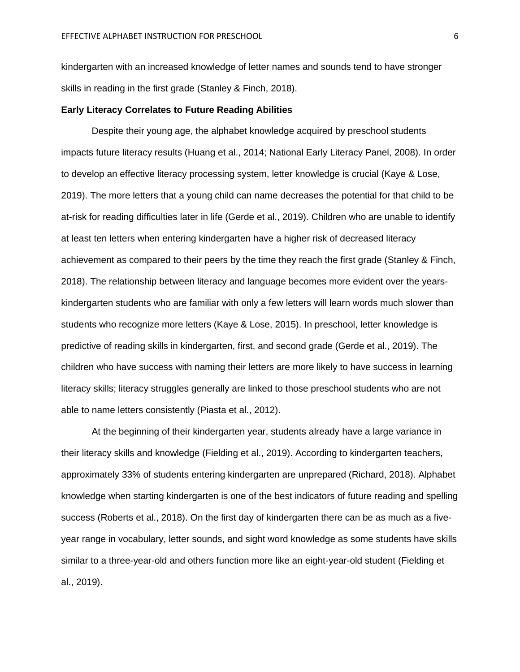kindergarten with an increased knowledge of letter names and sounds tend to have stronger skills in reading in the first grade (Stanley & Finch, 2018).

#### **Early Literacy Correlates to Future Reading Abilities**

Despite their young age, the alphabet knowledge acquired by preschool students impacts future literacy results (Huang et al., 2014; National Early Literacy Panel, 2008). In order to develop an effective literacy processing system, letter knowledge is crucial (Kaye & Lose, 2019). The more letters that a young child can name decreases the potential for that child to be at-risk for reading difficulties later in life (Gerde et al., 2019). Children who are unable to identify at least ten letters when entering kindergarten have a higher risk of decreased literacy achievement as compared to their peers by the time they reach the first grade (Stanley & Finch, 2018). The relationship between literacy and language becomes more evident over the yearskindergarten students who are familiar with only a few letters will learn words much slower than students who recognize more letters (Kaye & Lose, 2015). In preschool, letter knowledge is predictive of reading skills in kindergarten, first, and second grade (Gerde et al., 2019). The children who have success with naming their letters are more likely to have success in learning literacy skills; literacy struggles generally are linked to those preschool students who are not able to name letters consistently (Piasta et al., 2012).

At the beginning of their kindergarten year, students already have a large variance in their literacy skills and knowledge (Fielding et al., 2019). According to kindergarten teachers, approximately 33% of students entering kindergarten are unprepared (Richard, 2018). Alphabet knowledge when starting kindergarten is one of the best indicators of future reading and spelling success (Roberts et al., 2018). On the first day of kindergarten there can be as much as a fiveyear range in vocabulary, letter sounds, and sight word knowledge as some students have skills similar to a three-year-old and others function more like an eight-year-old student (Fielding et al., 2019).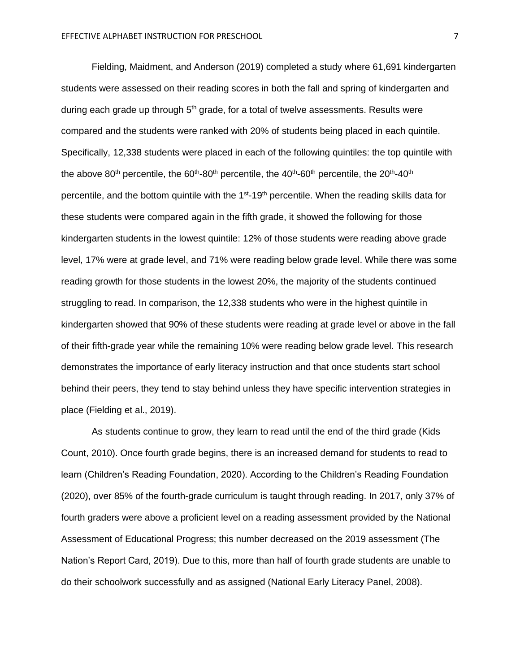Fielding, Maidment, and Anderson (2019) completed a study where 61,691 kindergarten students were assessed on their reading scores in both the fall and spring of kindergarten and during each grade up through  $5<sup>th</sup>$  grade, for a total of twelve assessments. Results were compared and the students were ranked with 20% of students being placed in each quintile. Specifically, 12,338 students were placed in each of the following quintiles: the top quintile with the above 80<sup>th</sup> percentile, the 60<sup>th</sup>-80<sup>th</sup> percentile, the 40<sup>th</sup>-60<sup>th</sup> percentile, the 20<sup>th</sup>-40<sup>th</sup> percentile, and the bottom quintile with the 1<sup>st</sup>-19<sup>th</sup> percentile. When the reading skills data for these students were compared again in the fifth grade, it showed the following for those kindergarten students in the lowest quintile: 12% of those students were reading above grade level, 17% were at grade level, and 71% were reading below grade level. While there was some reading growth for those students in the lowest 20%, the majority of the students continued struggling to read. In comparison, the 12,338 students who were in the highest quintile in kindergarten showed that 90% of these students were reading at grade level or above in the fall of their fifth-grade year while the remaining 10% were reading below grade level. This research demonstrates the importance of early literacy instruction and that once students start school behind their peers, they tend to stay behind unless they have specific intervention strategies in place (Fielding et al., 2019).

As students continue to grow, they learn to read until the end of the third grade (Kids Count, 2010). Once fourth grade begins, there is an increased demand for students to read to learn (Children's Reading Foundation, 2020). According to the Children's Reading Foundation (2020), over 85% of the fourth-grade curriculum is taught through reading. In 2017, only 37% of fourth graders were above a proficient level on a reading assessment provided by the National Assessment of Educational Progress; this number decreased on the 2019 assessment (The Nation's Report Card, 2019). Due to this, more than half of fourth grade students are unable to do their schoolwork successfully and as assigned (National Early Literacy Panel, 2008).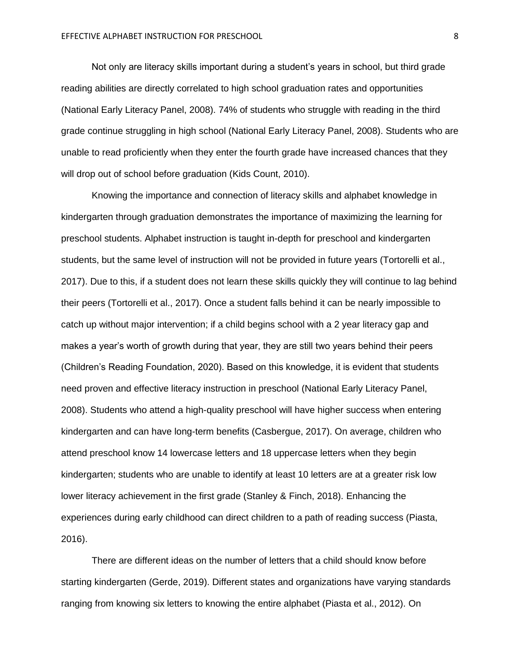Not only are literacy skills important during a student's years in school, but third grade reading abilities are directly correlated to high school graduation rates and opportunities (National Early Literacy Panel, 2008). 74% of students who struggle with reading in the third grade continue struggling in high school (National Early Literacy Panel, 2008). Students who are unable to read proficiently when they enter the fourth grade have increased chances that they will drop out of school before graduation (Kids Count, 2010).

Knowing the importance and connection of literacy skills and alphabet knowledge in kindergarten through graduation demonstrates the importance of maximizing the learning for preschool students. Alphabet instruction is taught in-depth for preschool and kindergarten students, but the same level of instruction will not be provided in future years (Tortorelli et al., 2017). Due to this, if a student does not learn these skills quickly they will continue to lag behind their peers (Tortorelli et al., 2017). Once a student falls behind it can be nearly impossible to catch up without major intervention; if a child begins school with a 2 year literacy gap and makes a year's worth of growth during that year, they are still two years behind their peers (Children's Reading Foundation, 2020). Based on this knowledge, it is evident that students need proven and effective literacy instruction in preschool (National Early Literacy Panel, 2008). Students who attend a high-quality preschool will have higher success when entering kindergarten and can have long-term benefits (Casbergue, 2017). On average, children who attend preschool know 14 lowercase letters and 18 uppercase letters when they begin kindergarten; students who are unable to identify at least 10 letters are at a greater risk low lower literacy achievement in the first grade (Stanley & Finch, 2018). Enhancing the experiences during early childhood can direct children to a path of reading success (Piasta, 2016).

There are different ideas on the number of letters that a child should know before starting kindergarten (Gerde, 2019). Different states and organizations have varying standards ranging from knowing six letters to knowing the entire alphabet (Piasta et al., 2012). On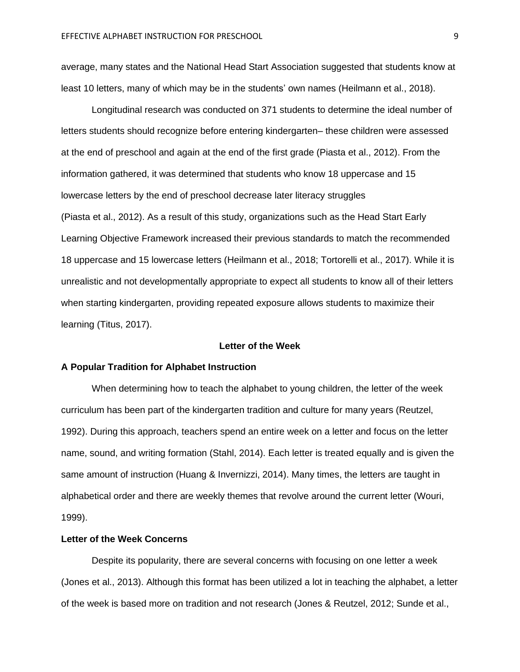average, many states and the National Head Start Association suggested that students know at least 10 letters, many of which may be in the students' own names (Heilmann et al., 2018).

Longitudinal research was conducted on 371 students to determine the ideal number of letters students should recognize before entering kindergarten– these children were assessed at the end of preschool and again at the end of the first grade (Piasta et al., 2012). From the information gathered, it was determined that students who know 18 uppercase and 15 lowercase letters by the end of preschool decrease later literacy struggles (Piasta et al., 2012). As a result of this study, organizations such as the Head Start Early Learning Objective Framework increased their previous standards to match the recommended 18 uppercase and 15 lowercase letters (Heilmann et al., 2018; Tortorelli et al., 2017). While it is unrealistic and not developmentally appropriate to expect all students to know all of their letters when starting kindergarten, providing repeated exposure allows students to maximize their learning (Titus, 2017).

### **Letter of the Week**

#### **A Popular Tradition for Alphabet Instruction**

When determining how to teach the alphabet to young children, the letter of the week curriculum has been part of the kindergarten tradition and culture for many years (Reutzel, 1992). During this approach, teachers spend an entire week on a letter and focus on the letter name, sound, and writing formation (Stahl, 2014). Each letter is treated equally and is given the same amount of instruction (Huang & Invernizzi, 2014). Many times, the letters are taught in alphabetical order and there are weekly themes that revolve around the current letter (Wouri, 1999).

#### **Letter of the Week Concerns**

Despite its popularity, there are several concerns with focusing on one letter a week (Jones et al., 2013). Although this format has been utilized a lot in teaching the alphabet, a letter of the week is based more on tradition and not research (Jones & Reutzel, 2012; Sunde et al.,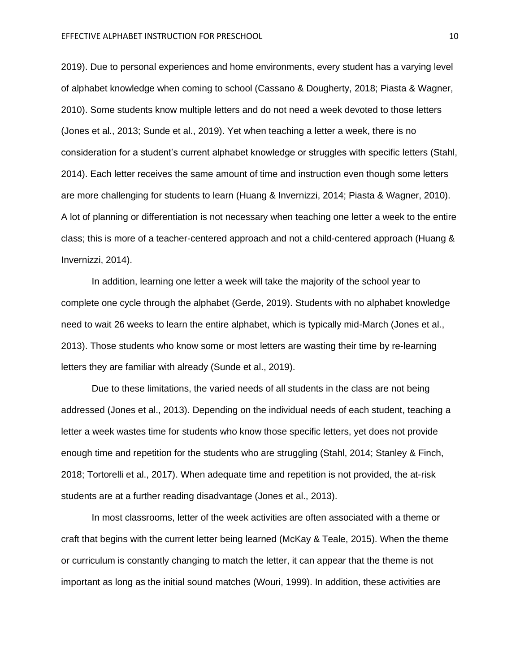2019). Due to personal experiences and home environments, every student has a varying level of alphabet knowledge when coming to school (Cassano & Dougherty, 2018; Piasta & Wagner, 2010). Some students know multiple letters and do not need a week devoted to those letters (Jones et al., 2013; Sunde et al., 2019). Yet when teaching a letter a week, there is no consideration for a student's current alphabet knowledge or struggles with specific letters (Stahl, 2014). Each letter receives the same amount of time and instruction even though some letters are more challenging for students to learn (Huang & Invernizzi, 2014; Piasta & Wagner, 2010). A lot of planning or differentiation is not necessary when teaching one letter a week to the entire class; this is more of a teacher-centered approach and not a child-centered approach (Huang & Invernizzi, 2014).

In addition, learning one letter a week will take the majority of the school year to complete one cycle through the alphabet (Gerde, 2019). Students with no alphabet knowledge need to wait 26 weeks to learn the entire alphabet, which is typically mid-March (Jones et al., 2013). Those students who know some or most letters are wasting their time by re-learning letters they are familiar with already (Sunde et al., 2019).

Due to these limitations, the varied needs of all students in the class are not being addressed (Jones et al., 2013). Depending on the individual needs of each student, teaching a letter a week wastes time for students who know those specific letters, yet does not provide enough time and repetition for the students who are struggling (Stahl, 2014; Stanley & Finch, 2018; Tortorelli et al., 2017). When adequate time and repetition is not provided, the at-risk students are at a further reading disadvantage (Jones et al., 2013).

In most classrooms, letter of the week activities are often associated with a theme or craft that begins with the current letter being learned (McKay & Teale, 2015). When the theme or curriculum is constantly changing to match the letter, it can appear that the theme is not important as long as the initial sound matches (Wouri, 1999). In addition, these activities are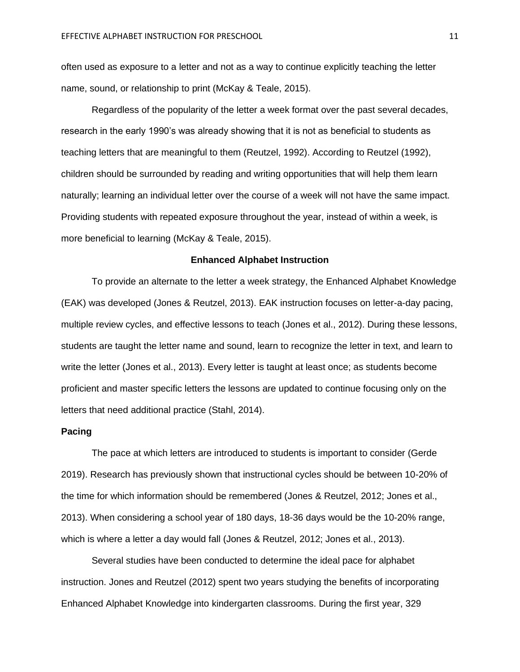often used as exposure to a letter and not as a way to continue explicitly teaching the letter name, sound, or relationship to print (McKay & Teale, 2015).

Regardless of the popularity of the letter a week format over the past several decades, research in the early 1990's was already showing that it is not as beneficial to students as teaching letters that are meaningful to them (Reutzel, 1992). According to Reutzel (1992), children should be surrounded by reading and writing opportunities that will help them learn naturally; learning an individual letter over the course of a week will not have the same impact. Providing students with repeated exposure throughout the year, instead of within a week, is more beneficial to learning (McKay & Teale, 2015).

#### **Enhanced Alphabet Instruction**

To provide an alternate to the letter a week strategy, the Enhanced Alphabet Knowledge (EAK) was developed (Jones & Reutzel, 2013). EAK instruction focuses on letter-a-day pacing, multiple review cycles, and effective lessons to teach (Jones et al., 2012). During these lessons, students are taught the letter name and sound, learn to recognize the letter in text, and learn to write the letter (Jones et al., 2013). Every letter is taught at least once; as students become proficient and master specific letters the lessons are updated to continue focusing only on the letters that need additional practice (Stahl, 2014).

#### **Pacing**

The pace at which letters are introduced to students is important to consider (Gerde 2019). Research has previously shown that instructional cycles should be between 10-20% of the time for which information should be remembered (Jones & Reutzel, 2012; Jones et al., 2013). When considering a school year of 180 days, 18-36 days would be the 10-20% range, which is where a letter a day would fall (Jones & Reutzel, 2012; Jones et al., 2013).

Several studies have been conducted to determine the ideal pace for alphabet instruction. Jones and Reutzel (2012) spent two years studying the benefits of incorporating Enhanced Alphabet Knowledge into kindergarten classrooms. During the first year, 329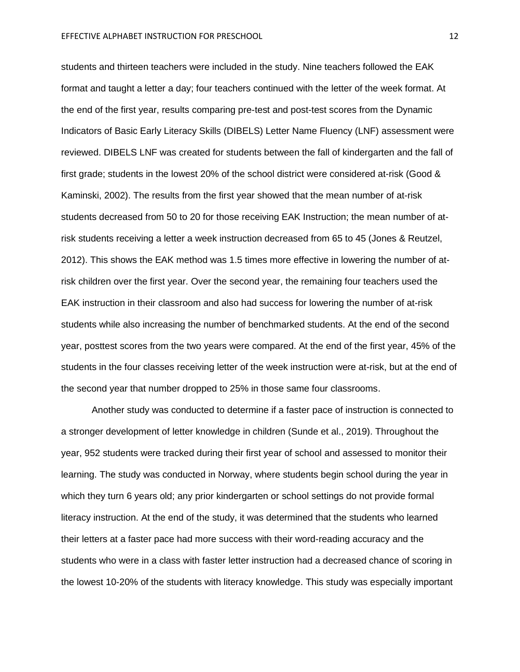students and thirteen teachers were included in the study. Nine teachers followed the EAK format and taught a letter a day; four teachers continued with the letter of the week format. At the end of the first year, results comparing pre-test and post-test scores from the Dynamic Indicators of Basic Early Literacy Skills (DIBELS) Letter Name Fluency (LNF) assessment were reviewed. DIBELS LNF was created for students between the fall of kindergarten and the fall of first grade; students in the lowest 20% of the school district were considered at-risk (Good & Kaminski, 2002). The results from the first year showed that the mean number of at-risk students decreased from 50 to 20 for those receiving EAK Instruction; the mean number of atrisk students receiving a letter a week instruction decreased from 65 to 45 (Jones & Reutzel, 2012). This shows the EAK method was 1.5 times more effective in lowering the number of atrisk children over the first year. Over the second year, the remaining four teachers used the EAK instruction in their classroom and also had success for lowering the number of at-risk students while also increasing the number of benchmarked students. At the end of the second year, posttest scores from the two years were compared. At the end of the first year, 45% of the students in the four classes receiving letter of the week instruction were at-risk, but at the end of the second year that number dropped to 25% in those same four classrooms.

Another study was conducted to determine if a faster pace of instruction is connected to a stronger development of letter knowledge in children (Sunde et al., 2019). Throughout the year, 952 students were tracked during their first year of school and assessed to monitor their learning. The study was conducted in Norway, where students begin school during the year in which they turn 6 years old; any prior kindergarten or school settings do not provide formal literacy instruction. At the end of the study, it was determined that the students who learned their letters at a faster pace had more success with their word-reading accuracy and the students who were in a class with faster letter instruction had a decreased chance of scoring in the lowest 10-20% of the students with literacy knowledge. This study was especially important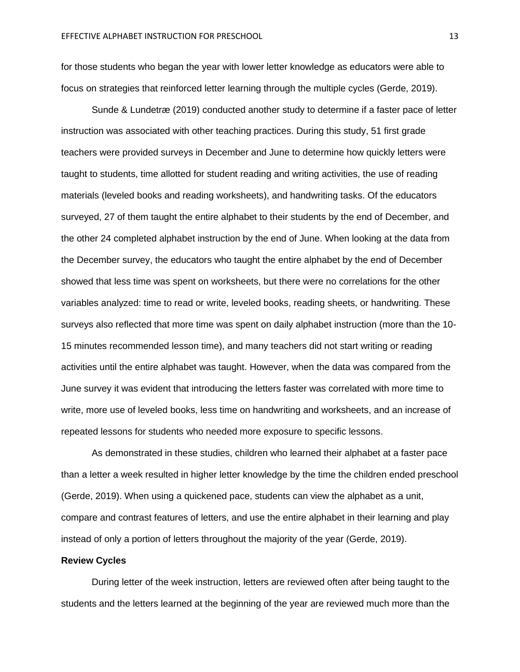for those students who began the year with lower letter knowledge as educators were able to focus on strategies that reinforced letter learning through the multiple cycles (Gerde, 2019).

Sunde & Lundetræ (2019) conducted another study to determine if a faster pace of letter instruction was associated with other teaching practices. During this study, 51 first grade teachers were provided surveys in December and June to determine how quickly letters were taught to students, time allotted for student reading and writing activities, the use of reading materials (leveled books and reading worksheets), and handwriting tasks. Of the educators surveyed, 27 of them taught the entire alphabet to their students by the end of December, and the other 24 completed alphabet instruction by the end of June. When looking at the data from the December survey, the educators who taught the entire alphabet by the end of December showed that less time was spent on worksheets, but there were no correlations for the other variables analyzed: time to read or write, leveled books, reading sheets, or handwriting. These surveys also reflected that more time was spent on daily alphabet instruction (more than the 10- 15 minutes recommended lesson time), and many teachers did not start writing or reading activities until the entire alphabet was taught. However, when the data was compared from the June survey it was evident that introducing the letters faster was correlated with more time to write, more use of leveled books, less time on handwriting and worksheets, and an increase of repeated lessons for students who needed more exposure to specific lessons.

As demonstrated in these studies, children who learned their alphabet at a faster pace than a letter a week resulted in higher letter knowledge by the time the children ended preschool (Gerde, 2019). When using a quickened pace, students can view the alphabet as a unit, compare and contrast features of letters, and use the entire alphabet in their learning and play instead of only a portion of letters throughout the majority of the year (Gerde, 2019).

#### **Review Cycles**

During letter of the week instruction, letters are reviewed often after being taught to the students and the letters learned at the beginning of the year are reviewed much more than the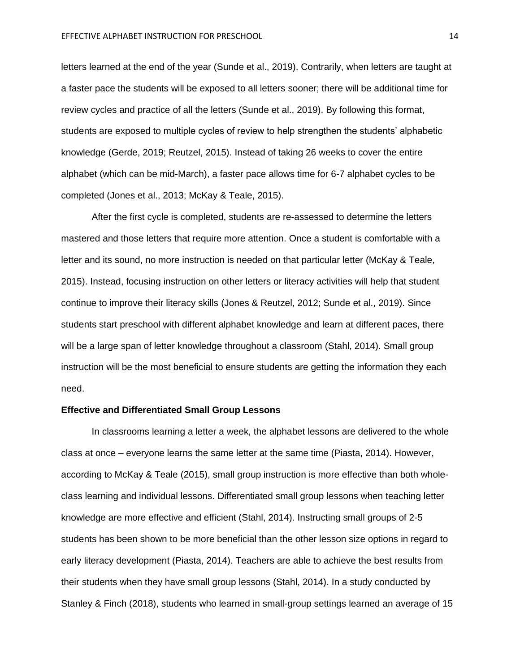letters learned at the end of the year (Sunde et al., 2019). Contrarily, when letters are taught at a faster pace the students will be exposed to all letters sooner; there will be additional time for review cycles and practice of all the letters (Sunde et al., 2019). By following this format, students are exposed to multiple cycles of review to help strengthen the students' alphabetic knowledge (Gerde, 2019; Reutzel, 2015). Instead of taking 26 weeks to cover the entire alphabet (which can be mid-March), a faster pace allows time for 6-7 alphabet cycles to be completed (Jones et al., 2013; McKay & Teale, 2015).

After the first cycle is completed, students are re-assessed to determine the letters mastered and those letters that require more attention. Once a student is comfortable with a letter and its sound, no more instruction is needed on that particular letter (McKay & Teale, 2015). Instead, focusing instruction on other letters or literacy activities will help that student continue to improve their literacy skills (Jones & Reutzel, 2012; Sunde et al., 2019). Since students start preschool with different alphabet knowledge and learn at different paces, there will be a large span of letter knowledge throughout a classroom (Stahl, 2014). Small group instruction will be the most beneficial to ensure students are getting the information they each need.

#### **Effective and Differentiated Small Group Lessons**

In classrooms learning a letter a week, the alphabet lessons are delivered to the whole class at once – everyone learns the same letter at the same time (Piasta, 2014). However, according to McKay & Teale (2015), small group instruction is more effective than both wholeclass learning and individual lessons. Differentiated small group lessons when teaching letter knowledge are more effective and efficient (Stahl, 2014). Instructing small groups of 2-5 students has been shown to be more beneficial than the other lesson size options in regard to early literacy development (Piasta, 2014). Teachers are able to achieve the best results from their students when they have small group lessons (Stahl, 2014). In a study conducted by Stanley & Finch (2018), students who learned in small-group settings learned an average of 15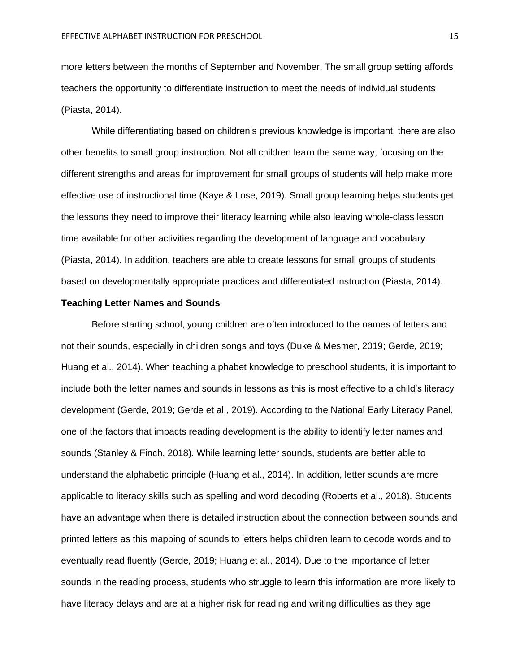more letters between the months of September and November. The small group setting affords teachers the opportunity to differentiate instruction to meet the needs of individual students (Piasta, 2014).

While differentiating based on children's previous knowledge is important, there are also other benefits to small group instruction. Not all children learn the same way; focusing on the different strengths and areas for improvement for small groups of students will help make more effective use of instructional time (Kaye & Lose, 2019). Small group learning helps students get the lessons they need to improve their literacy learning while also leaving whole-class lesson time available for other activities regarding the development of language and vocabulary (Piasta, 2014). In addition, teachers are able to create lessons for small groups of students based on developmentally appropriate practices and differentiated instruction (Piasta, 2014).

#### **Teaching Letter Names and Sounds**

Before starting school, young children are often introduced to the names of letters and not their sounds, especially in children songs and toys (Duke & Mesmer, 2019; Gerde, 2019; Huang et al., 2014). When teaching alphabet knowledge to preschool students, it is important to include both the letter names and sounds in lessons as this is most effective to a child's literacy development (Gerde, 2019; Gerde et al., 2019). According to the National Early Literacy Panel, one of the factors that impacts reading development is the ability to identify letter names and sounds (Stanley & Finch, 2018). While learning letter sounds, students are better able to understand the alphabetic principle (Huang et al., 2014). In addition, letter sounds are more applicable to literacy skills such as spelling and word decoding (Roberts et al., 2018). Students have an advantage when there is detailed instruction about the connection between sounds and printed letters as this mapping of sounds to letters helps children learn to decode words and to eventually read fluently (Gerde, 2019; Huang et al., 2014). Due to the importance of letter sounds in the reading process, students who struggle to learn this information are more likely to have literacy delays and are at a higher risk for reading and writing difficulties as they age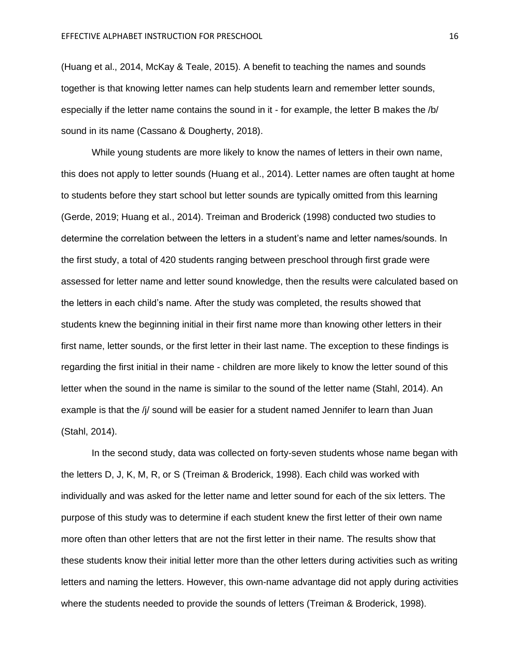(Huang et al., 2014, McKay & Teale, 2015). A benefit to teaching the names and sounds together is that knowing letter names can help students learn and remember letter sounds, especially if the letter name contains the sound in it - for example, the letter B makes the /b/ sound in its name (Cassano & Dougherty, 2018).

While young students are more likely to know the names of letters in their own name, this does not apply to letter sounds (Huang et al., 2014). Letter names are often taught at home to students before they start school but letter sounds are typically omitted from this learning (Gerde, 2019; Huang et al., 2014). Treiman and Broderick (1998) conducted two studies to determine the correlation between the letters in a student's name and letter names/sounds. In the first study, a total of 420 students ranging between preschool through first grade were assessed for letter name and letter sound knowledge, then the results were calculated based on the letters in each child's name. After the study was completed, the results showed that students knew the beginning initial in their first name more than knowing other letters in their first name, letter sounds, or the first letter in their last name. The exception to these findings is regarding the first initial in their name - children are more likely to know the letter sound of this letter when the sound in the name is similar to the sound of the letter name (Stahl, 2014). An example is that the /j/ sound will be easier for a student named Jennifer to learn than Juan (Stahl, 2014).

In the second study, data was collected on forty-seven students whose name began with the letters D, J, K, M, R, or S (Treiman & Broderick, 1998). Each child was worked with individually and was asked for the letter name and letter sound for each of the six letters. The purpose of this study was to determine if each student knew the first letter of their own name more often than other letters that are not the first letter in their name. The results show that these students know their initial letter more than the other letters during activities such as writing letters and naming the letters. However, this own-name advantage did not apply during activities where the students needed to provide the sounds of letters (Treiman & Broderick, 1998).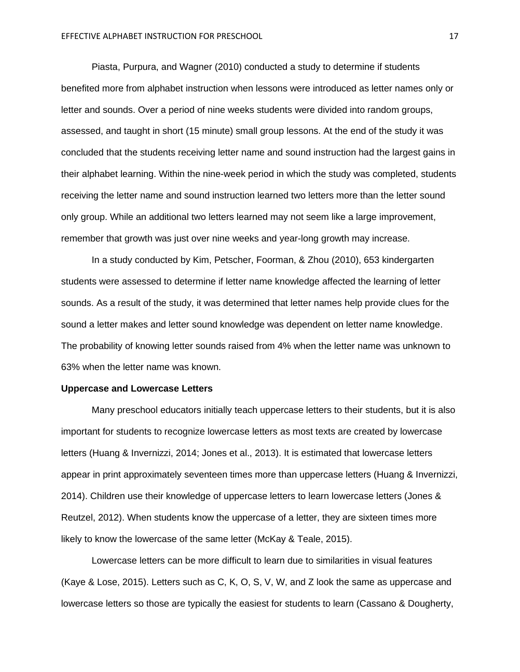Piasta, Purpura, and Wagner (2010) conducted a study to determine if students benefited more from alphabet instruction when lessons were introduced as letter names only or letter and sounds. Over a period of nine weeks students were divided into random groups, assessed, and taught in short (15 minute) small group lessons. At the end of the study it was concluded that the students receiving letter name and sound instruction had the largest gains in their alphabet learning. Within the nine-week period in which the study was completed, students receiving the letter name and sound instruction learned two letters more than the letter sound only group. While an additional two letters learned may not seem like a large improvement, remember that growth was just over nine weeks and year-long growth may increase.

In a study conducted by Kim, Petscher, Foorman, & Zhou (2010), 653 kindergarten students were assessed to determine if letter name knowledge affected the learning of letter sounds. As a result of the study, it was determined that letter names help provide clues for the sound a letter makes and letter sound knowledge was dependent on letter name knowledge. The probability of knowing letter sounds raised from 4% when the letter name was unknown to 63% when the letter name was known.

#### **Uppercase and Lowercase Letters**

Many preschool educators initially teach uppercase letters to their students, but it is also important for students to recognize lowercase letters as most texts are created by lowercase letters (Huang & Invernizzi, 2014; Jones et al., 2013). It is estimated that lowercase letters appear in print approximately seventeen times more than uppercase letters (Huang & Invernizzi, 2014). Children use their knowledge of uppercase letters to learn lowercase letters (Jones & Reutzel, 2012). When students know the uppercase of a letter, they are sixteen times more likely to know the lowercase of the same letter (McKay & Teale, 2015).

Lowercase letters can be more difficult to learn due to similarities in visual features (Kaye & Lose, 2015). Letters such as C, K, O, S, V, W, and Z look the same as uppercase and lowercase letters so those are typically the easiest for students to learn (Cassano & Dougherty,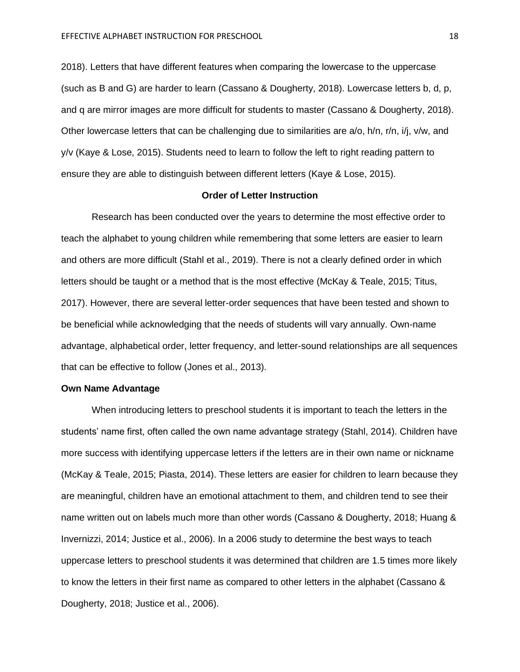2018). Letters that have different features when comparing the lowercase to the uppercase (such as B and G) are harder to learn (Cassano & Dougherty, 2018). Lowercase letters b, d, p, and q are mirror images are more difficult for students to master (Cassano & Dougherty, 2018). Other lowercase letters that can be challenging due to similarities are a/o, h/n, r/n, i/j, v/w, and y/v (Kaye & Lose, 2015). Students need to learn to follow the left to right reading pattern to ensure they are able to distinguish between different letters (Kaye & Lose, 2015).

#### **Order of Letter Instruction**

Research has been conducted over the years to determine the most effective order to teach the alphabet to young children while remembering that some letters are easier to learn and others are more difficult (Stahl et al., 2019). There is not a clearly defined order in which letters should be taught or a method that is the most effective (McKay & Teale, 2015; Titus, 2017). However, there are several letter-order sequences that have been tested and shown to be beneficial while acknowledging that the needs of students will vary annually. Own-name advantage, alphabetical order, letter frequency, and letter-sound relationships are all sequences that can be effective to follow (Jones et al., 2013).

#### **Own Name Advantage**

When introducing letters to preschool students it is important to teach the letters in the students' name first, often called the own name advantage strategy (Stahl, 2014). Children have more success with identifying uppercase letters if the letters are in their own name or nickname (McKay & Teale, 2015; Piasta, 2014). These letters are easier for children to learn because they are meaningful, children have an emotional attachment to them, and children tend to see their name written out on labels much more than other words (Cassano & Dougherty, 2018; Huang & Invernizzi, 2014; Justice et al., 2006). In a 2006 study to determine the best ways to teach uppercase letters to preschool students it was determined that children are 1.5 times more likely to know the letters in their first name as compared to other letters in the alphabet (Cassano & Dougherty, 2018; Justice et al., 2006).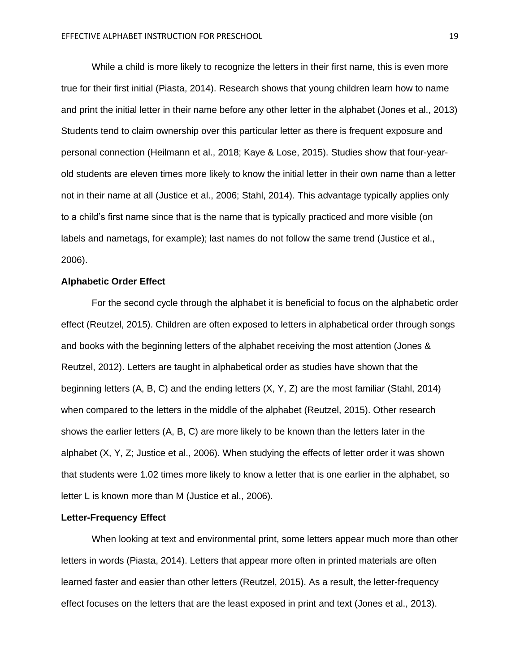While a child is more likely to recognize the letters in their first name, this is even more true for their first initial (Piasta, 2014). Research shows that young children learn how to name and print the initial letter in their name before any other letter in the alphabet (Jones et al., 2013) Students tend to claim ownership over this particular letter as there is frequent exposure and personal connection (Heilmann et al., 2018; Kaye & Lose, 2015). Studies show that four-yearold students are eleven times more likely to know the initial letter in their own name than a letter not in their name at all (Justice et al., 2006; Stahl, 2014). This advantage typically applies only to a child's first name since that is the name that is typically practiced and more visible (on labels and nametags, for example); last names do not follow the same trend (Justice et al., 2006).

#### **Alphabetic Order Effect**

For the second cycle through the alphabet it is beneficial to focus on the alphabetic order effect (Reutzel, 2015). Children are often exposed to letters in alphabetical order through songs and books with the beginning letters of the alphabet receiving the most attention (Jones & Reutzel, 2012). Letters are taught in alphabetical order as studies have shown that the beginning letters (A, B, C) and the ending letters (X, Y, Z) are the most familiar (Stahl, 2014) when compared to the letters in the middle of the alphabet (Reutzel, 2015). Other research shows the earlier letters (A, B, C) are more likely to be known than the letters later in the alphabet (X, Y, Z; Justice et al., 2006). When studying the effects of letter order it was shown that students were 1.02 times more likely to know a letter that is one earlier in the alphabet, so letter L is known more than M (Justice et al., 2006).

#### **Letter-Frequency Effect**

When looking at text and environmental print, some letters appear much more than other letters in words (Piasta, 2014). Letters that appear more often in printed materials are often learned faster and easier than other letters (Reutzel, 2015). As a result, the letter-frequency effect focuses on the letters that are the least exposed in print and text (Jones et al., 2013).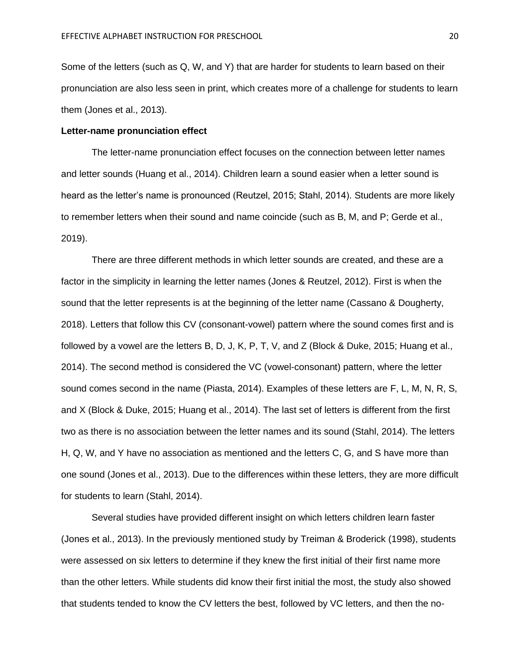Some of the letters (such as Q, W, and Y) that are harder for students to learn based on their pronunciation are also less seen in print, which creates more of a challenge for students to learn them (Jones et al., 2013).

#### **Letter-name pronunciation effect**

The letter-name pronunciation effect focuses on the connection between letter names and letter sounds (Huang et al., 2014). Children learn a sound easier when a letter sound is heard as the letter's name is pronounced (Reutzel, 2015; Stahl, 2014). Students are more likely to remember letters when their sound and name coincide (such as B, M, and P; Gerde et al., 2019).

There are three different methods in which letter sounds are created, and these are a factor in the simplicity in learning the letter names (Jones & Reutzel, 2012). First is when the sound that the letter represents is at the beginning of the letter name (Cassano & Dougherty, 2018). Letters that follow this CV (consonant-vowel) pattern where the sound comes first and is followed by a vowel are the letters B, D, J, K, P, T, V, and Z (Block & Duke, 2015; Huang et al., 2014). The second method is considered the VC (vowel-consonant) pattern, where the letter sound comes second in the name (Piasta, 2014). Examples of these letters are F, L, M, N, R, S, and X (Block & Duke, 2015; Huang et al., 2014). The last set of letters is different from the first two as there is no association between the letter names and its sound (Stahl, 2014). The letters H, Q, W, and Y have no association as mentioned and the letters C, G, and S have more than one sound (Jones et al., 2013). Due to the differences within these letters, they are more difficult for students to learn (Stahl, 2014).

Several studies have provided different insight on which letters children learn faster (Jones et al., 2013). In the previously mentioned study by Treiman & Broderick (1998), students were assessed on six letters to determine if they knew the first initial of their first name more than the other letters. While students did know their first initial the most, the study also showed that students tended to know the CV letters the best, followed by VC letters, and then the no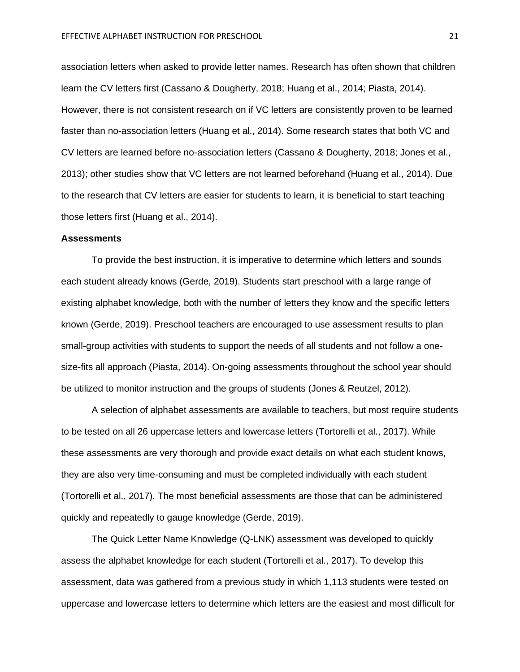association letters when asked to provide letter names. Research has often shown that children learn the CV letters first (Cassano & Dougherty, 2018; Huang et al., 2014; Piasta, 2014). However, there is not consistent research on if VC letters are consistently proven to be learned faster than no-association letters (Huang et al., 2014). Some research states that both VC and CV letters are learned before no-association letters (Cassano & Dougherty, 2018; Jones et al., 2013); other studies show that VC letters are not learned beforehand (Huang et al., 2014). Due to the research that CV letters are easier for students to learn, it is beneficial to start teaching those letters first (Huang et al., 2014).

#### **Assessments**

To provide the best instruction, it is imperative to determine which letters and sounds each student already knows (Gerde, 2019). Students start preschool with a large range of existing alphabet knowledge, both with the number of letters they know and the specific letters known (Gerde, 2019). Preschool teachers are encouraged to use assessment results to plan small-group activities with students to support the needs of all students and not follow a onesize-fits all approach (Piasta, 2014). On-going assessments throughout the school year should be utilized to monitor instruction and the groups of students (Jones & Reutzel, 2012).

A selection of alphabet assessments are available to teachers, but most require students to be tested on all 26 uppercase letters and lowercase letters (Tortorelli et al., 2017). While these assessments are very thorough and provide exact details on what each student knows, they are also very time-consuming and must be completed individually with each student (Tortorelli et al., 2017). The most beneficial assessments are those that can be administered quickly and repeatedly to gauge knowledge (Gerde, 2019).

The Quick Letter Name Knowledge (Q-LNK) assessment was developed to quickly assess the alphabet knowledge for each student (Tortorelli et al., 2017). To develop this assessment, data was gathered from a previous study in which 1,113 students were tested on uppercase and lowercase letters to determine which letters are the easiest and most difficult for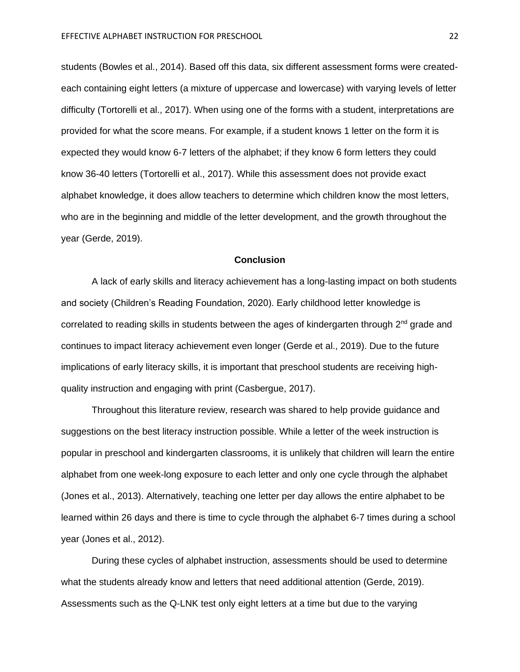students (Bowles et al., 2014). Based off this data, six different assessment forms were createdeach containing eight letters (a mixture of uppercase and lowercase) with varying levels of letter difficulty (Tortorelli et al., 2017). When using one of the forms with a student, interpretations are provided for what the score means. For example, if a student knows 1 letter on the form it is expected they would know 6-7 letters of the alphabet; if they know 6 form letters they could know 36-40 letters (Tortorelli et al., 2017). While this assessment does not provide exact alphabet knowledge, it does allow teachers to determine which children know the most letters, who are in the beginning and middle of the letter development, and the growth throughout the year (Gerde, 2019).

#### **Conclusion**

A lack of early skills and literacy achievement has a long-lasting impact on both students and society (Children's Reading Foundation, 2020). Early childhood letter knowledge is correlated to reading skills in students between the ages of kindergarten through  $2<sup>nd</sup>$  grade and continues to impact literacy achievement even longer (Gerde et al., 2019). Due to the future implications of early literacy skills, it is important that preschool students are receiving highquality instruction and engaging with print (Casbergue, 2017).

Throughout this literature review, research was shared to help provide guidance and suggestions on the best literacy instruction possible. While a letter of the week instruction is popular in preschool and kindergarten classrooms, it is unlikely that children will learn the entire alphabet from one week-long exposure to each letter and only one cycle through the alphabet (Jones et al., 2013). Alternatively, teaching one letter per day allows the entire alphabet to be learned within 26 days and there is time to cycle through the alphabet 6-7 times during a school year (Jones et al., 2012).

During these cycles of alphabet instruction, assessments should be used to determine what the students already know and letters that need additional attention (Gerde, 2019). Assessments such as the Q-LNK test only eight letters at a time but due to the varying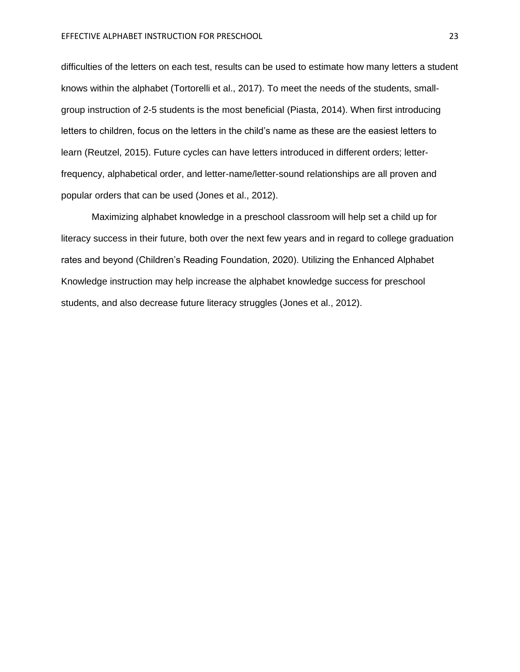difficulties of the letters on each test, results can be used to estimate how many letters a student knows within the alphabet (Tortorelli et al., 2017). To meet the needs of the students, smallgroup instruction of 2-5 students is the most beneficial (Piasta, 2014). When first introducing letters to children, focus on the letters in the child's name as these are the easiest letters to learn (Reutzel, 2015). Future cycles can have letters introduced in different orders; letterfrequency, alphabetical order, and letter-name/letter-sound relationships are all proven and popular orders that can be used (Jones et al., 2012).

Maximizing alphabet knowledge in a preschool classroom will help set a child up for literacy success in their future, both over the next few years and in regard to college graduation rates and beyond (Children's Reading Foundation, 2020). Utilizing the Enhanced Alphabet Knowledge instruction may help increase the alphabet knowledge success for preschool students, and also decrease future literacy struggles (Jones et al., 2012).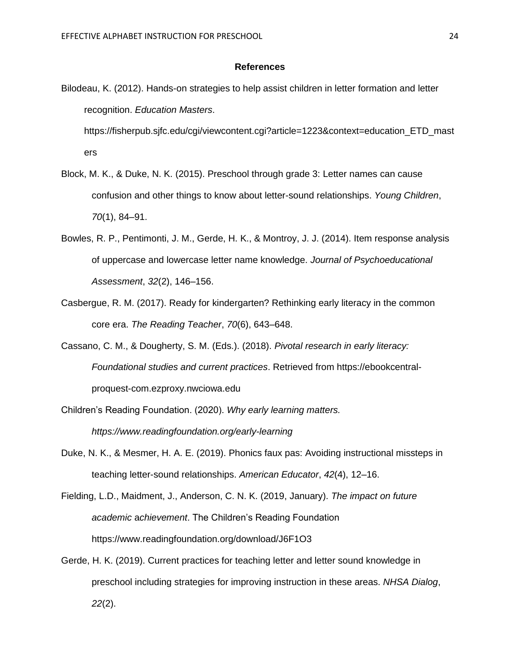#### **References**

Bilodeau, K. (2012). Hands-on strategies to help assist children in letter formation and letter recognition. *Education Masters*.

https://fisherpub.sjfc.edu/cgi/viewcontent.cgi?article=1223&context=education\_ETD\_mast ers

- Block, M. K., & Duke, N. K. (2015). Preschool through grade 3: Letter names can cause confusion and other things to know about letter-sound relationships. *Young Children*, *70*(1), 84–91.
- Bowles, R. P., Pentimonti, J. M., Gerde, H. K., & Montroy, J. J. (2014). Item response analysis of uppercase and lowercase letter name knowledge. *Journal of Psychoeducational Assessment*, *32*(2), 146–156.
- Casbergue, R. M. (2017). Ready for kindergarten? Rethinking early literacy in the common core era. *The Reading Teacher*, *70*(6), 643–648.
- Cassano, C. M., & Dougherty, S. M. (Eds.). (2018). *Pivotal research in early literacy: Foundational studies and current practices*. Retrieved from https://ebookcentralproquest-com.ezproxy.nwciowa.edu
- Children's Reading Foundation. (2020). *Why early learning matters. https://www.readingfoundation.org/early-learning*
- Duke, N. K., & Mesmer, H. A. E. (2019). Phonics faux pas: Avoiding instructional missteps in teaching letter-sound relationships. *American Educator*, *42*(4), 12–16.
- Fielding, L.D., Maidment, J., Anderson, C. N. K. (2019, January). *The impact on future academic* a*chievement*. The Children's Reading Foundation https://www.readingfoundation.org/download/J6F1O3
- Gerde, H. K. (2019). Current practices for teaching letter and letter sound knowledge in preschool including strategies for improving instruction in these areas. *NHSA Dialog*, *22*(2).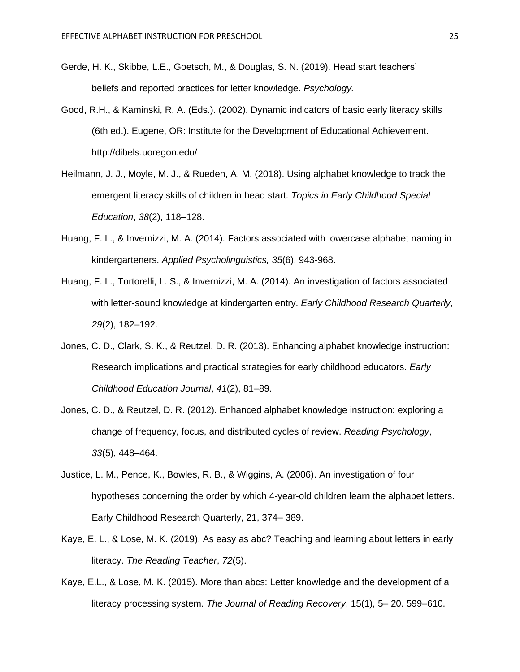- Gerde, H. K., Skibbe, L.E., Goetsch, M., & Douglas, S. N. (2019). Head start teachers' beliefs and reported practices for letter knowledge. *Psychology.*
- Good, R.H., & Kaminski, R. A. (Eds.). (2002). Dynamic indicators of basic early literacy skills (6th ed.). Eugene, OR: Institute for the Development of Educational Achievement. http://dibels.uoregon.edu/
- Heilmann, J. J., Moyle, M. J., & Rueden, A. M. (2018). Using alphabet knowledge to track the emergent literacy skills of children in head start. *Topics in Early Childhood Special Education*, *38*(2), 118–128.
- Huang, F. L., & Invernizzi, M. A. (2014). Factors associated with lowercase alphabet naming in kindergarteners. *Applied Psycholinguistics, 35*(6), 943-968.
- Huang, F. L., Tortorelli, L. S., & Invernizzi, M. A. (2014). An investigation of factors associated with letter-sound knowledge at kindergarten entry. *Early Childhood Research Quarterly*, *29*(2), 182–192.
- Jones, C. D., Clark, S. K., & Reutzel, D. R. (2013). Enhancing alphabet knowledge instruction: Research implications and practical strategies for early childhood educators. *Early Childhood Education Journal*, *41*(2), 81–89.
- Jones, C. D., & Reutzel, D. R. (2012). Enhanced alphabet knowledge instruction: exploring a change of frequency, focus, and distributed cycles of review. *Reading Psychology*, *33*(5), 448–464.
- Justice, L. M., Pence, K., Bowles, R. B., & Wiggins, A. (2006). An investigation of four hypotheses concerning the order by which 4-year-old children learn the alphabet letters. Early Childhood Research Quarterly, 21, 374– 389.
- Kaye, E. L., & Lose, M. K. (2019). As easy as abc? Teaching and learning about letters in early literacy. *The Reading Teacher*, *72*(5).
- Kaye, E.L., & Lose, M. K. (2015). More than abcs: Letter knowledge and the development of a literacy processing system. *The Journal of Reading Recovery*, 15(1), 5– 20. 599–610.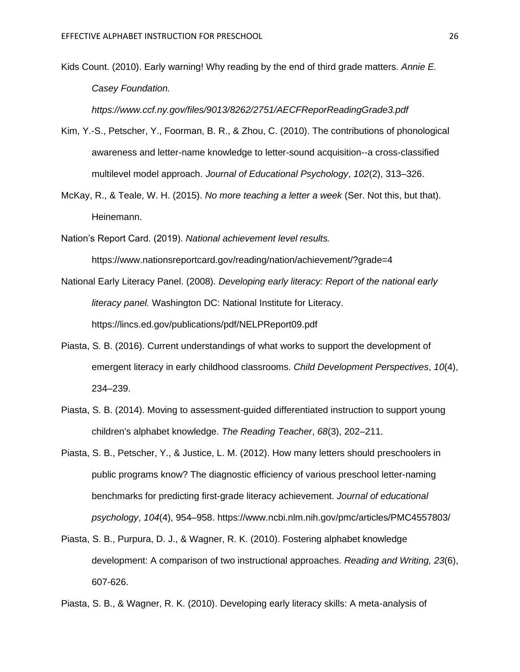Kids Count. (2010). Early warning! Why reading by the end of third grade matters. *Annie E. Casey Foundation.*

*https://www.ccf.ny.gov/files/9013/8262/2751/AECFReporReadingGrade3.pdf*

- Kim, Y.-S., Petscher, Y., Foorman, B. R., & Zhou, C. (2010). The contributions of phonological awareness and letter-name knowledge to letter-sound acquisition--a cross-classified multilevel model approach. *Journal of Educational Psychology*, *102*(2), 313–326.
- McKay, R., & Teale, W. H. (2015). *No more teaching a letter a week* (Ser. Not this, but that). Heinemann.

Nation's Report Card. (2019). *National achievement level results.*

https://www.nationsreportcard.gov/reading/nation/achievement/?grade=4

- National Early Literacy Panel. (2008). *Developing early literacy: Report of the national early literacy panel.* Washington DC: National Institute for Literacy. https://lincs.ed.gov/publications/pdf/NELPReport09.pdf
- Piasta, S. B. (2016). Current understandings of what works to support the development of emergent literacy in early childhood classrooms. *Child Development Perspectives*, *10*(4), 234–239.
- Piasta, S. B. (2014). Moving to assessment-guided differentiated instruction to support young children's alphabet knowledge. *The Reading Teacher*, *68*(3), 202–211.
- Piasta, S. B., Petscher, Y., & Justice, L. M. (2012). How many letters should preschoolers in public programs know? The diagnostic efficiency of various preschool letter-naming benchmarks for predicting first-grade literacy achievement. *Journal of educational psychology*, *104*(4), 954–958. https://www.ncbi.nlm.nih.gov/pmc/articles/PMC4557803/
- Piasta, S. B., Purpura, D. J., & Wagner, R. K. (2010). Fostering alphabet knowledge development: A comparison of two instructional approaches. *Reading and Writing, 23*(6), 607-626.

Piasta, S. B., & Wagner, R. K. (2010). Developing early literacy skills: A meta-analysis of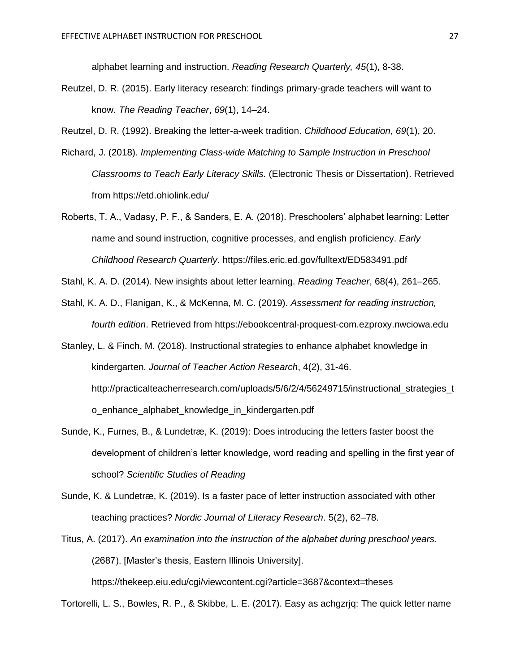alphabet learning and instruction. *Reading Research Quarterly, 45*(1), 8-38.

- Reutzel, D. R. (2015). Early literacy research: findings primary-grade teachers will want to know. *The Reading Teacher*, *69*(1), 14–24.
- Reutzel, D. R. (1992). Breaking the letter-a-week tradition. *Childhood Education, 69*(1), 20.
- Richard, J. (2018). *Implementing Class-wide Matching to Sample Instruction in Preschool Classrooms to Teach Early Literacy Skills.* (Electronic Thesis or Dissertation). Retrieved from https://etd.ohiolink.edu/
- Roberts, T. A., Vadasy, P. F., & Sanders, E. A. (2018). Preschoolers' alphabet learning: Letter name and sound instruction, cognitive processes, and english proficiency. *Early Childhood Research Quarterly*. https://files.eric.ed.gov/fulltext/ED583491.pdf

Stahl, K. A. D. (2014). New insights about letter learning. *Reading Teacher*, 68(4), 261–265.

Stahl, K. A. D., Flanigan, K., & McKenna, M. C. (2019). *Assessment for reading instruction, fourth edition*. Retrieved from https://ebookcentral-proquest-com.ezproxy.nwciowa.edu

Stanley, L. & Finch, M. (2018). Instructional strategies to enhance alphabet knowledge in kindergarten. *Journal of Teacher Action Research*, 4(2), 31-46. http://practicalteacherresearch.com/uploads/5/6/2/4/56249715/instructional strategies t o\_enhance\_alphabet\_knowledge\_in\_kindergarten.pdf

- Sunde, K., Furnes, B., & Lundetræ, K. (2019): Does introducing the letters faster boost the development of children's letter knowledge, word reading and spelling in the first year of school? *Scientific Studies of Reading*
- Sunde, K. & Lundetræ, K. (2019). Is a faster pace of letter instruction associated with other teaching practices? *Nordic Journal of Literacy Research*. 5(2), 62–78.
- Titus, A. (2017). *An examination into the instruction of the alphabet during preschool years.* (2687). [Master's thesis, Eastern Illinois University].

https://thekeep.eiu.edu/cgi/viewcontent.cgi?article=3687&context=theses

Tortorelli, L. S., Bowles, R. P., & Skibbe, L. E. (2017). Easy as achgzrjq: The quick letter name